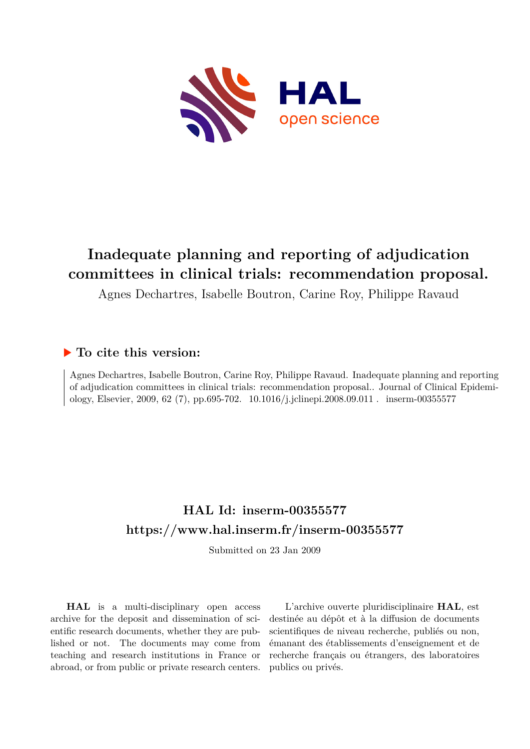

# **Inadequate planning and reporting of adjudication committees in clinical trials: recommendation proposal.**

Agnes Dechartres, Isabelle Boutron, Carine Roy, Philippe Ravaud

### **To cite this version:**

Agnes Dechartres, Isabelle Boutron, Carine Roy, Philippe Ravaud. Inadequate planning and reporting of adjudication committees in clinical trials: recommendation proposal.. Journal of Clinical Epidemiology, Elsevier, 2009, 62 (7), pp.695-702. 10.1016/j.jclinepi.2008.09.011 . inserm-00355577

### **HAL Id: inserm-00355577 <https://www.hal.inserm.fr/inserm-00355577>**

Submitted on 23 Jan 2009

**HAL** is a multi-disciplinary open access archive for the deposit and dissemination of scientific research documents, whether they are published or not. The documents may come from teaching and research institutions in France or abroad, or from public or private research centers.

L'archive ouverte pluridisciplinaire **HAL**, est destinée au dépôt et à la diffusion de documents scientifiques de niveau recherche, publiés ou non, émanant des établissements d'enseignement et de recherche français ou étrangers, des laboratoires publics ou privés.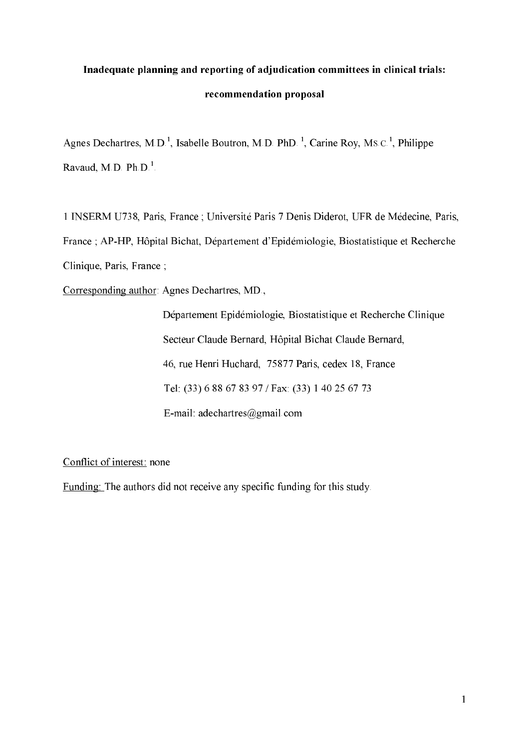# Inadequate planning and reporting of adjudication committees in clinical trials: recommendation proposal

Agnes Dechartres, M.D.<sup>1</sup>, Isabelle Boutron, M.D. PhD.<sup>1</sup>, Carine Roy, Ms.c.<sup>1</sup>, Philippe Ravaud, M.D. Ph.D.<sup>1</sup>.

1 INSERM U738, Paris, France ; Université Paris 7 Denis Diderot, UFR de Médecine, Paris, France ; AP-HP, Hôpital Bichat, Département d'Epidémiologie, Biostatistique et Recherche Clinique, Paris, France;

Corresponding author: Agnes Dechartres, MD.,

Département Epidémiologie, Biostatistique et Recherche Clinique Secteur Claude Bernard, Hôpital Bichat Claude Bernard, 46, rue Henri Huchard, 75877 Paris, cedex 18, France Tel: (33) 6 88 67 83 97 / Fax: (33) 1 40 25 67 73 E-mail: adechartres@gmail.com

Conflict of interest: none

Funding: The authors did not receive any specific funding for this study.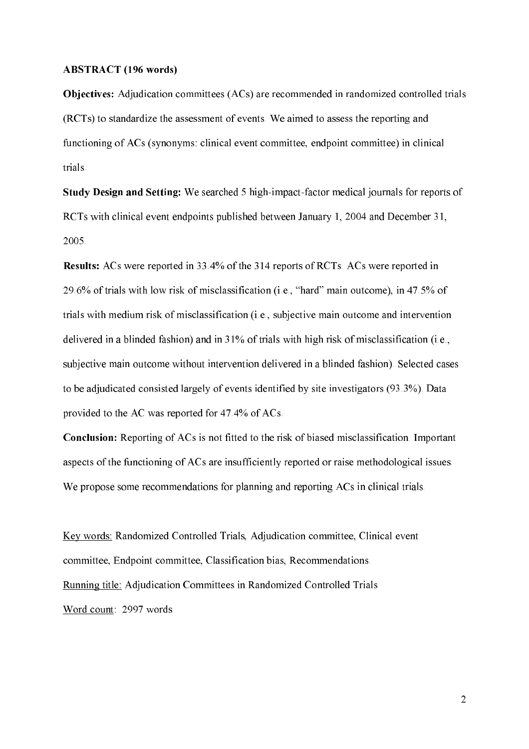#### **ABSTRACT** (196 words)

**Objectives:** Adjudication committees (ACs) are recommended in randomized controlled trials (RCTs) to standardize the assessment of events. We aimed to assess the reporting and functioning of ACs (synonyms: clinical event committee, endpoint committee) in clinical trials.

**Study Design and Setting:** We searched 5 high-impact-factor medical journals for reports of RCTs with clinical event endpoints published between January 1, 2004 and December 31, 2005.

**Results:** ACs were reported in 33.4% of the 314 reports of RCTs. ACs were reported in 29.6% of trials with low risk of misclassification (i.e., "hard" main outcome), in 47.5% of trials with medium risk of misclassification (i.e., subjective main outcome and intervention delivered in a blinded fashion) and in 31% of trials with high risk of misclassification (i.e., subjective main outcome without intervention delivered in a blinded fashion). Selected cases to be adjudicated consisted largely of events identified by site investigators (93.3%). Data provided to the AC was reported for 47.4% of ACs.

**Conclusion:** Reporting of ACs is not fitted to the risk of biased misclassification. Important aspects of the functioning of ACs are insufficiently reported or raise methodological issues. We propose some recommendations for planning and reporting ACs in clinical trials.

Key words: Randomized Controlled Trials, Adjudication committee, Clinical event committee, Endpoint committee, Classification bias, Recommendations. Running title: Adjudication Committees in Randomized Controlled Trials Word count: 2997 words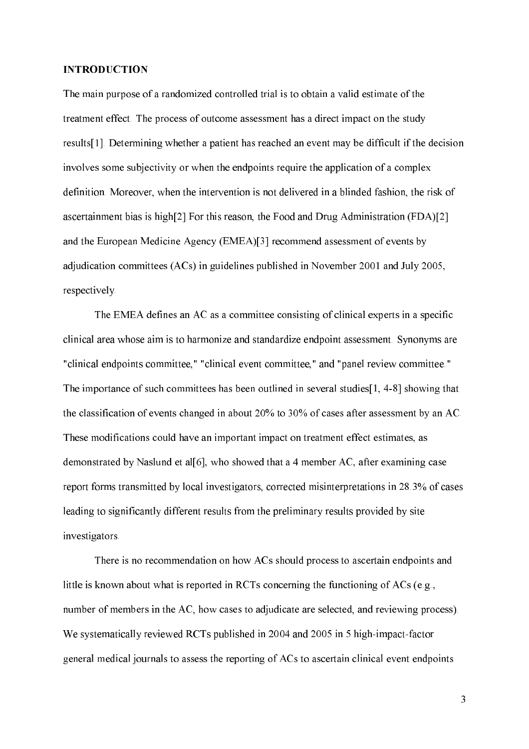#### **INTRODUCTION**

The main purpose of a randomized controlled trial is to obtain a valid estimate of the treatment effect. The process of outcome assessment has a direct impact on the study results[1]. Determining whether a patient has reached an event may be difficult if the decision involves some subjectivity or when the endpoints require the application of a complex definition. Moreover, when the intervention is not delivered in a blinded fashion, the risk of ascertainment bias is high[2]. For this reason, the Food and Drug Administration (FDA)[2] and the European Medicine Agency (EMEA)[3] recommend assessment of events by adjudication committees (ACs) in guidelines published in November 2001 and July 2005, respectively.

The EMEA defines an AC as a committee consisting of clinical experts in a specific clinical area whose aim is to harmonize and standardize endpoint assessment. Synonyms are "clinical endpoints committee," "clinical event committee," and "panel review committee." The importance of such committees has been outlined in several studies [1, 4-8] showing that the classification of events changed in about 20% to 30% of cases after assessment by an AC. These modifications could have an important impact on treatment effect estimates, as demonstrated by Naslund et al[6], who showed that a 4 member AC, after examining case report forms transmitted by local investigators, corrected misinterpretations in 28.3% of cases leading to significantly different results from the preliminary results provided by site investigators.

There is no recommendation on how ACs should process to ascertain endpoints and little is known about what is reported in RCTs concerning the functioning of ACs (e.g., number of members in the AC, how cases to adjudicate are selected, and reviewing process). We systematically reviewed RCTs published in 2004 and 2005 in 5 high-impact-factor general medical journals to assess the reporting of ACs to ascertain clinical event endpoints

 $\overline{3}$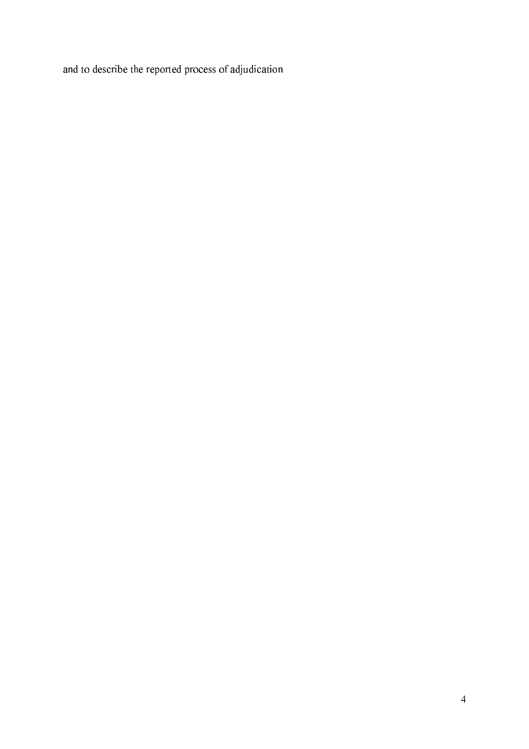and to describe the reported process of adjudication.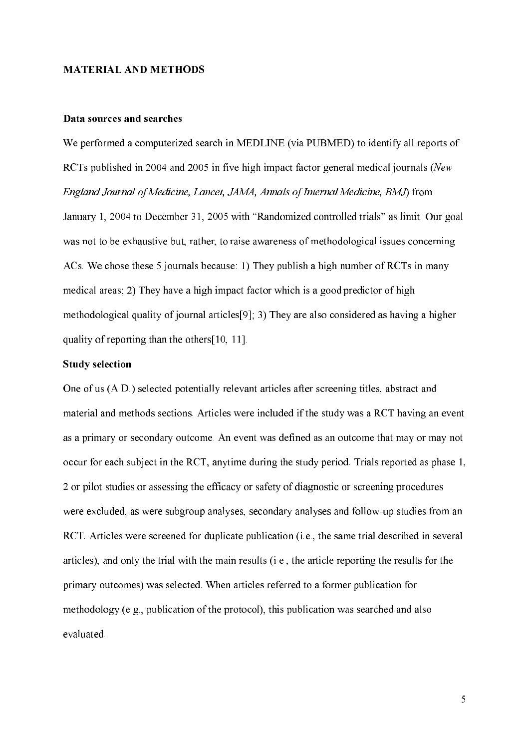#### **MATERIAL AND METHODS**

#### Data sources and searches

We performed a computerized search in MEDLINE (via PUBMED) to identify all reports of RCTs published in 2004 and 2005 in five high impact factor general medical journals (New England Journal of Medicine, Lancet, JAMA, Annals of Internal Medicine, BMJ) from January 1, 2004 to December 31, 2005 with "Randomized controlled trials" as limit. Our goal was not to be exhaustive but, rather, to raise awareness of methodological issues concerning ACs. We chose these 5 journals because: 1) They publish a high number of RCTs in many medical areas; 2) They have a high impact factor which is a good predictor of high methodological quality of journal articles [9]; 3) They are also considered as having a higher quality of reporting than the others [10, 11].

#### **Study selection**

One of us (A.D.) selected potentially relevant articles after screening titles, abstract and material and methods sections. Articles were included if the study was a RCT having an event as a primary or secondary outcome. An event was defined as an outcome that may or may not occur for each subject in the RCT, anytime during the study period. Trials reported as phase 1, 2 or pilot studies or assessing the efficacy or safety of diagnostic or screening procedures were excluded, as were subgroup analyses, secondary analyses and follow-up studies from an RCT. Articles were screened for duplicate publication (i.e., the same trial described in several articles), and only the trial with the main results (i.e., the article reporting the results for the primary outcomes) was selected. When articles referred to a former publication for methodology (e.g., publication of the protocol), this publication was searched and also evaluated.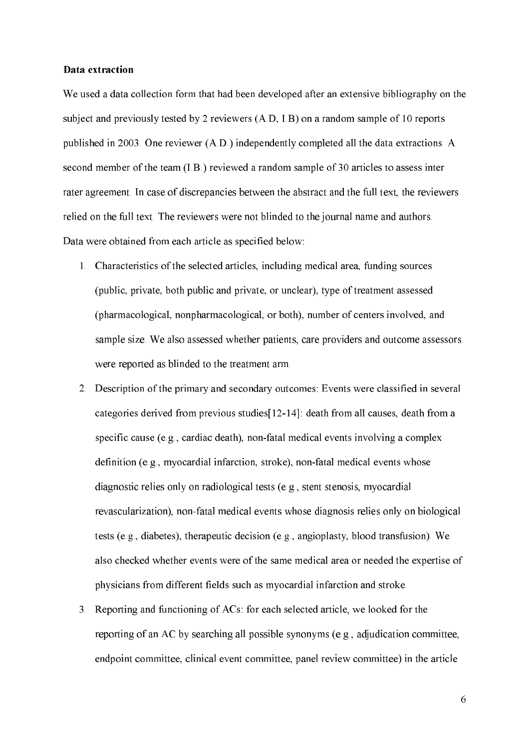#### Data extraction

We used a data collection form that had been developed after an extensive bibliography on the subject and previously tested by 2 reviewers (A,D, I,B) on a random sample of 10 reports published in 2003. One reviewer (A.D.) independently completed all the data extractions. A second member of the team (I.B.) reviewed a random sample of 30 articles to assess inter rater agreement. In case of discrepancies between the abstract and the full text, the reviewers relied on the full text. The reviewers were not blinded to the journal name and authors. Data were obtained from each article as specified below:

- 1. Characteristics of the selected articles, including medical area, funding sources (public, private, both public and private, or unclear), type of treatment assessed (pharmacological, nonpharmacological, or both), number of centers involved, and sample size. We also assessed whether patients, care providers and outcome assessors were reported as blinded to the treatment arm.
- 2. Description of the primary and secondary outcomes: Events were classified in several categories derived from previous studies[12-14]: death from all causes, death from a specific cause (e.g., cardiac death), non-fatal medical events involving a complex definition (e.g., myocardial infarction, stroke), non-fatal medical events whose diagnostic relies only on radiological tests (e.g., stent stenosis, myocardial revascularization), non-fatal medical events whose diagnosis relies only on biological tests (e.g., diabetes), therapeutic decision (e.g., angioplasty, blood transfusion). We also checked whether events were of the same medical area or needed the expertise of physicians from different fields such as myocardial infarction and stroke.
- 3. Reporting and functioning of ACs: for each selected article, we looked for the reporting of an AC by searching all possible synonyms (e.g., adjudication committee, endpoint committee, clinical event committee, panel review committee) in the article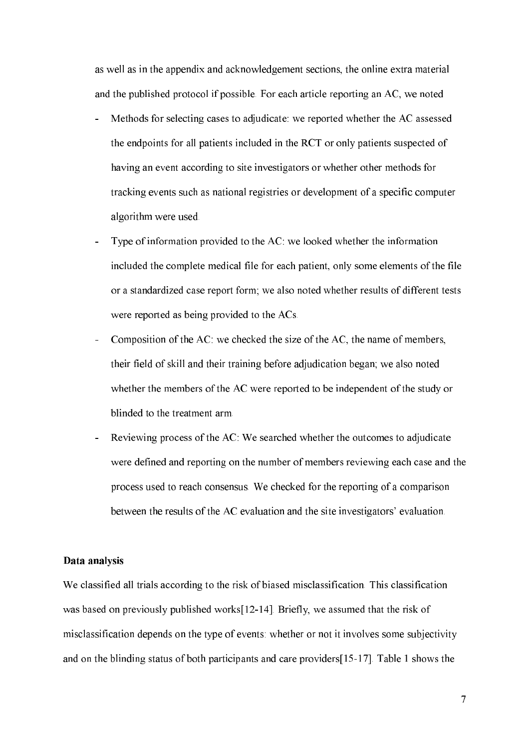as well as in the appendix and acknowledgement sections, the online extra material and the published protocol if possible. For each article reporting an AC, we noted

- Methods for selecting cases to adjudicate: we reported whether the AC assessed the endpoints for all patients included in the RCT or only patients suspected of having an event according to site investigators or whether other methods for tracking events such as national registries or development of a specific computer algorithm were used.
- Type of information provided to the AC: we looked whether the information included the complete medical file for each patient, only some elements of the file or a standardized case report form; we also noted whether results of different tests were reported as being provided to the ACs.
- Composition of the AC: we checked the size of the AC, the name of members, their field of skill and their training before adjudication began; we also noted whether the members of the AC were reported to be independent of the study or blinded to the treatment arm.
- Reviewing process of the AC: We searched whether the outcomes to adjudicate were defined and reporting on the number of members reviewing each case and the process used to reach consensus. We checked for the reporting of a comparison between the results of the AC evaluation and the site investigators' evaluation.

#### Data analysis

We classified all trials according to the risk of biased misclassification. This classification was based on previously published works[12-14]. Briefly, we assumed that the risk of misclassification depends on the type of events: whether or not it involves some subjectivity and on the blinding status of both participants and care providers [15-17]. Table 1 shows the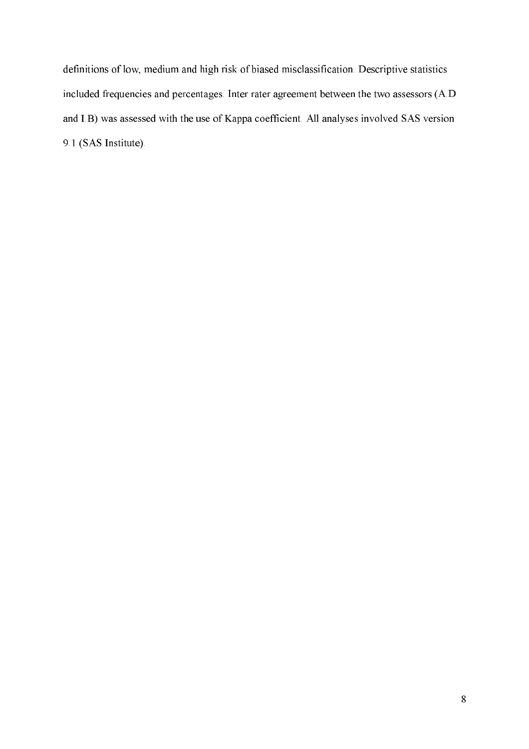definitions of low, medium and high risk of biased misclassification. Descriptive statistics included frequencies and percentages. Inter rater agreement between the two assessors (A.D and I.B) was assessed with the use of Kappa coefficient. All analyses involved SAS version 9.1 (SAS Institute).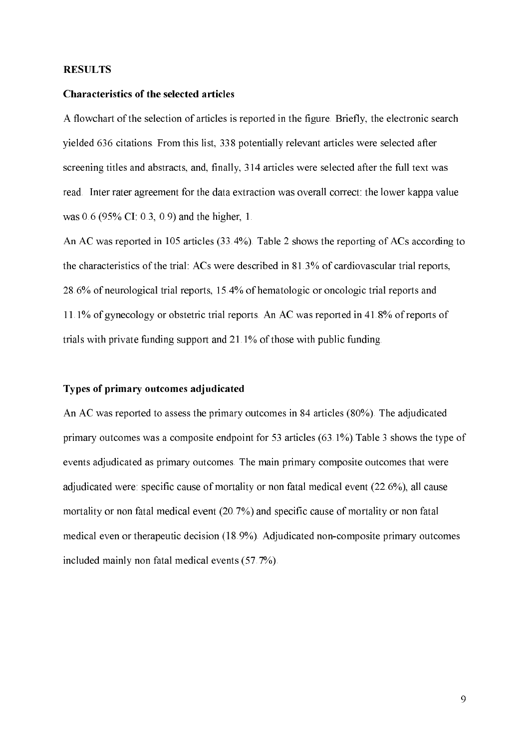#### **RESULTS**

#### **Characteristics of the selected articles**

A flowchart of the selection of articles is reported in the figure. Briefly, the electronic search yielded 636 citations. From this list, 338 potentially relevant articles were selected after screening titles and abstracts, and, finally, 314 articles were selected after the full text was read. Inter rater agreement for the data extraction was overall correct: the lower kappa value was  $0.6$  (95% CI: 0.3, 0.9) and the higher, 1.

An AC was reported in 105 articles (33.4%). Table 2 shows the reporting of ACs according to the characteristics of the trial: ACs were described in 81.3% of cardiovascular trial reports, 28.6% of neurological trial reports, 15.4% of hematologic or oncologic trial reports and 11.1% of gynecology or obstetric trial reports. An AC was reported in 41.8% of reports of trials with private funding support and 21.1% of those with public funding.

#### Types of primary outcomes adjudicated

An AC was reported to assess the primary outcomes in 84 articles (80%). The adjudicated primary outcomes was a composite endpoint for 53 articles  $(63.1\%)$ . Table 3 shows the type of events adjudicated as primary outcomes. The main primary composite outcomes that were adjudicated were: specific cause of mortality or non fatal medical event (22.6%), all cause mortality or non fatal medical event (20.7%) and specific cause of mortality or non fatal medical even or therapeutic decision (18.9%). Adjudicated non-composite primary outcomes included mainly non fatal medical events (57.7%).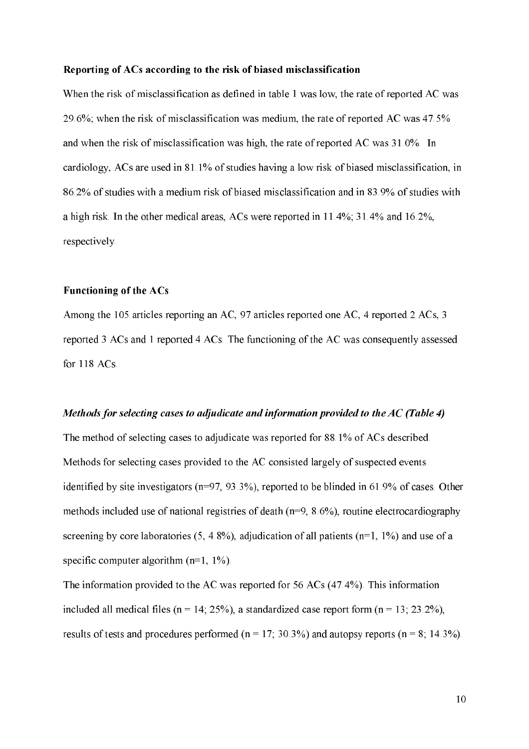#### Reporting of ACs according to the risk of biased misclassification

When the risk of misclassification as defined in table 1 was low, the rate of reported AC was 29.6%; when the risk of misclassification was medium, the rate of reported AC was 47.5% and when the risk of misclassification was high, the rate of reported AC was 31.0%. In cardiology, ACs are used in 81.1% of studies having a low risk of biased misclassification, in 86.2% of studies with a medium risk of biased misclassification and in 83.9% of studies with a high risk. In the other medical areas, ACs were reported in  $11.4\%$ ; 31.4% and 16.2%, respectively.

#### **Functioning of the ACs**

Among the 105 articles reporting an AC, 97 articles reported one AC, 4 reported 2 ACs, 3 reported 3 ACs and 1 reported 4 ACs. The functioning of the AC was consequently assessed for 118 ACs.

#### Methods for selecting cases to adjudicate and information provided to the AC (Table 4)

The method of selecting cases to adjudicate was reported for 88.1% of ACs described. Methods for selecting cases provided to the AC consisted largely of suspected events identified by site investigators ( $n=97$ ,  $93.3\%$ ), reported to be blinded in 61.9% of cases. Other methods included use of national registries of death  $(n=9, 8.6\%)$ , routine electrocardiography screening by core laboratories (5, 4.8%), adjudication of all patients ( $n=1$ , 1%) and use of a specific computer algorithm  $(n=1, 1\%)$ .

The information provided to the AC was reported for 56 ACs (47.4%). This information included all medical files ( $n = 14$ , 25%), a standardized case report form ( $n = 13$ , 23.2%), results of tests and procedures performed ( $n = 17$ ; 30.3%) and autopsy reports ( $n = 8$ ; 14.3%).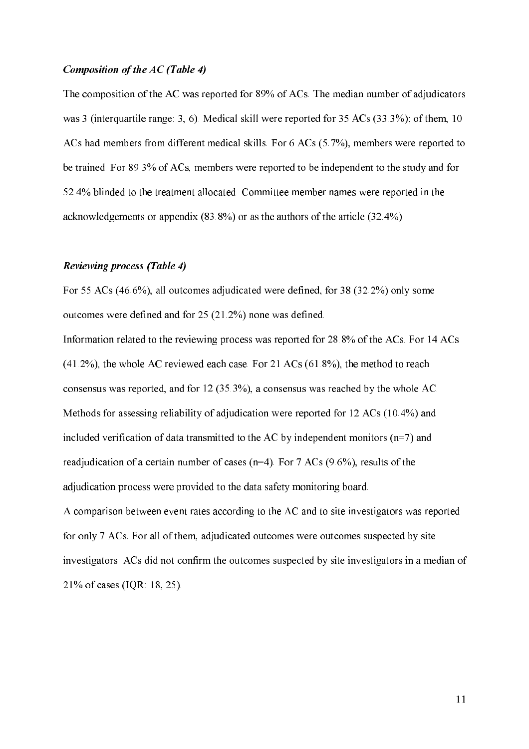#### Composition of the AC (Table 4)

The composition of the AC was reported for 89% of ACs. The median number of adjudicators was 3 (interquartile range: 3, 6). Medical skill were reported for  $35 \text{ ACs}$  ( $33.3\%$ ); of them, 10 ACs had members from different medical skills. For 6 ACs (5.7%), members were reported to be trained. For 89.3% of ACs, members were reported to be independent to the study and for 52.4% blinded to the treatment allocated. Committee member names were reported in the acknowledgements or appendix  $(83.8\%)$  or as the authors of the article  $(32.4\%)$ .

#### **Reviewing process (Table 4)**

For 55 ACs (46.6%), all outcomes adjudicated were defined, for 38 (32.2%) only some outcomes were defined and for 25 (21.2%) none was defined.

Information related to the reviewing process was reported for 28.8% of the ACs. For 14 ACs  $(41.2\%)$ , the whole AC reviewed each case. For 21 ACs  $(61.8\%)$ , the method to reach consensus was reported, and for  $12(35.3\%)$ , a consensus was reached by the whole AC. Methods for assessing reliability of adjudication were reported for 12 ACs (10.4%) and included verification of data transmitted to the AC by independent monitors  $(n=7)$  and readjudication of a certain number of cases ( $n=4$ ). For 7 ACs (9.6%), results of the adjudication process were provided to the data safety monitoring board.

A comparison between event rates according to the AC and to site investigators was reported for only 7 ACs. For all of them, adjudicated outcomes were outcomes suspected by site investigators. ACs did not confirm the outcomes suspected by site investigators in a median of 21% of cases (IQR: 18, 25).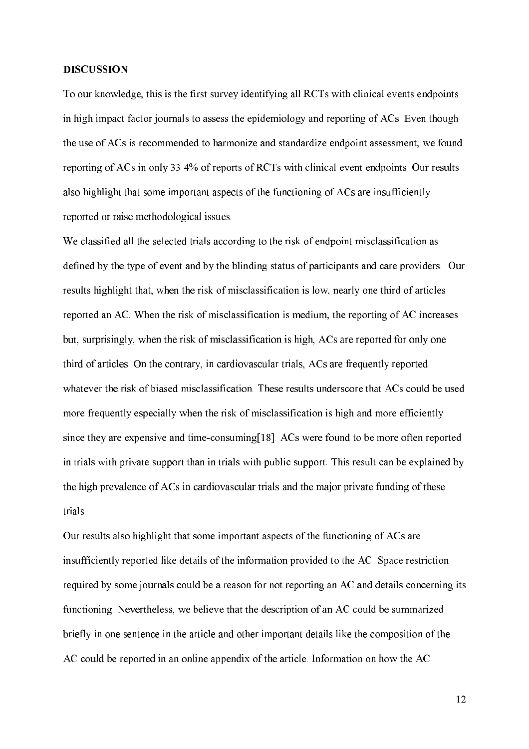#### **DISCUSSION**

To our knowledge, this is the first survey identifying all RCTs with clinical events endpoints in high impact factor journals to assess the epidemiology and reporting of ACs. Even though the use of ACs is recommended to harmonize and standardize endpoint assessment, we found reporting of ACs in only 33.4% of reports of RCTs with clinical event endpoints. Our results also highlight that some important aspects of the functioning of ACs are insufficiently reported or raise methodological issues.

We classified all the selected trials according to the risk of endpoint misclassification as defined by the type of event and by the blinding status of participants and care providers. Our results highlight that, when the risk of misclassification is low, nearly one third of articles reported an AC. When the risk of misclassification is medium, the reporting of AC increases but, surprisingly, when the risk of misclassification is high, ACs are reported for only one third of articles. On the contrary, in cardiovascular trials, ACs are frequently reported whatever the risk of biased misclassification. These results underscore that ACs could be used more frequently especially when the risk of misclassification is high and more efficiently since they are expensive and time-consuming[18]. ACs were found to be more often reported in trials with private support than in trials with public support. This result can be explained by the high prevalence of ACs in cardiovascular trials and the major private funding of these trials.

Our results also highlight that some important aspects of the functioning of ACs are insufficiently reported like details of the information provided to the AC. Space restriction required by some journals could be a reason for not reporting an AC and details concerning its functioning. Nevertheless, we believe that the description of an AC could be summarized briefly in one sentence in the article and other important details like the composition of the AC could be reported in an online appendix of the article. Information on how the AC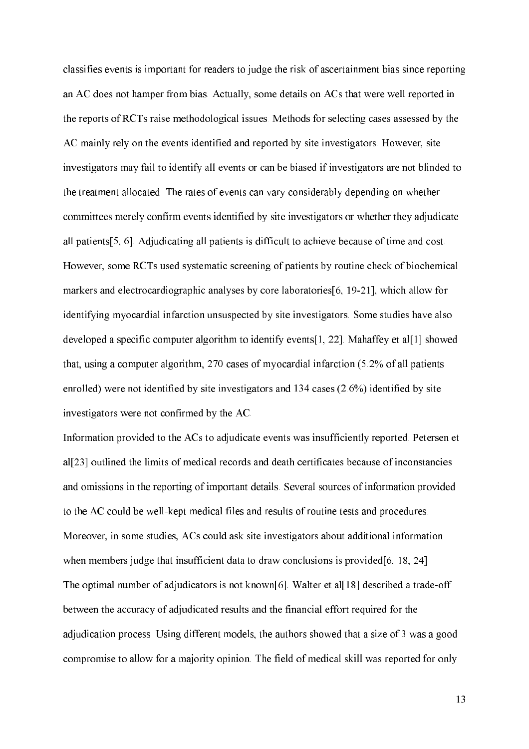classifies events is important for readers to judge the risk of ascertainment bias since reporting an AC does not hamper from bias. Actually, some details on ACs that were well reported in the reports of RCTs raise methodological issues. Methods for selecting cases assessed by the AC mainly rely on the events identified and reported by site investigators. However, site investigators may fail to identify all events or can be biased if investigators are not blinded to the treatment allocated. The rates of events can vary considerably depending on whether committees merely confirm events identified by site investigators or whether they adjudicate all patients [5, 6]. Adjudicating all patients is difficult to achieve because of time and cost. However, some RCTs used systematic screening of patients by routine check of biochemical markers and electrocardiographic analyses by core laboratories[6, 19-21], which allow for identifying myocardial infarction unsuspected by site investigators. Some studies have also developed a specific computer algorithm to identify events [1, 22]. Mahaffey et all [1] showed that, using a computer algorithm, 270 cases of myocardial infarction (5.2% of all patients enrolled) were not identified by site investigators and  $134$  cases  $(2.6\%)$  identified by site investigators were not confirmed by the AC.

Information provided to the ACs to adjudicate events was insufficiently reported. Petersen et al<sup>[23]</sup> outlined the limits of medical records and death certificates because of inconstancies and omissions in the reporting of important details. Several sources of information provided to the AC could be well-kept medical files and results of routine tests and procedures. Moreover, in some studies, ACs could ask site investigators about additional information when members judge that insufficient data to draw conclusions is provided [6, 18, 24]. The optimal number of adjudicators is not known[6]. Walter et al[18] described a trade-off between the accuracy of adjudicated results and the financial effort required for the adjudication process. Using different models, the authors showed that a size of 3 was a good compromise to allow for a majority opinion. The field of medical skill was reported for only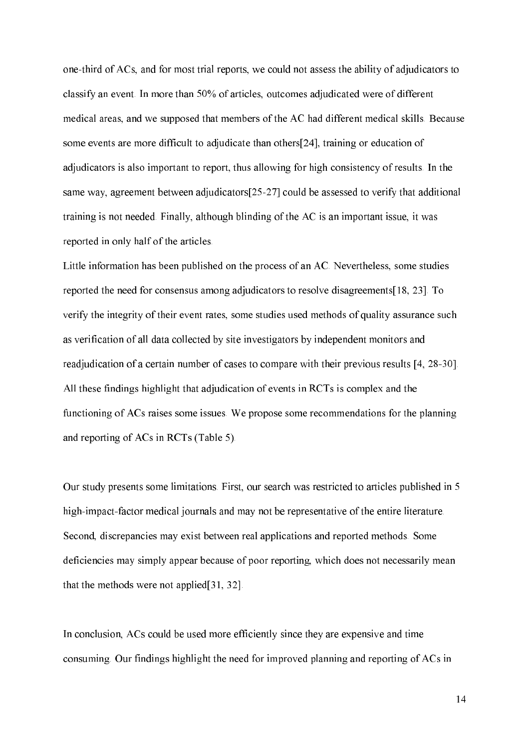one-third of ACs, and for most trial reports, we could not assess the ability of adjudicators to classify an event. In more than 50% of articles, outcomes adjudicated were of different medical areas, and we supposed that members of the AC had different medical skills. Because some events are more difficult to adjudicate than others[24], training or education of adjudicators is also important to report, thus allowing for high consistency of results. In the same way, agreement between adjudicators [25-27] could be assessed to verify that additional training is not needed. Finally, although blinding of the AC is an important issue, it was reported in only half of the articles.

Little information has been published on the process of an AC. Nevertheless, some studies reported the need for consensus among adjudicators to resolve disagreements [18, 23]. To verify the integrity of their event rates, some studies used methods of quality assurance such as verification of all data collected by site investigators by independent monitors and readjudication of a certain number of cases to compare with their previous results [4, 28-30]. All these findings highlight that adjudication of events in RCTs is complex and the functioning of ACs raises some issues. We propose some recommendations for the planning and reporting of ACs in RCTs (Table 5).

Our study presents some limitations. First, our search was restricted to articles published in 5 high-impact-factor medical journals and may not be representative of the entire literature. Second, discrepancies may exist between real applications and reported methods. Some deficiencies may simply appear because of poor reporting, which does not necessarily mean that the methods were not applied [31, 32].

In conclusion, ACs could be used more efficiently since they are expensive and time consuming. Our findings highlight the need for improved planning and reporting of ACs in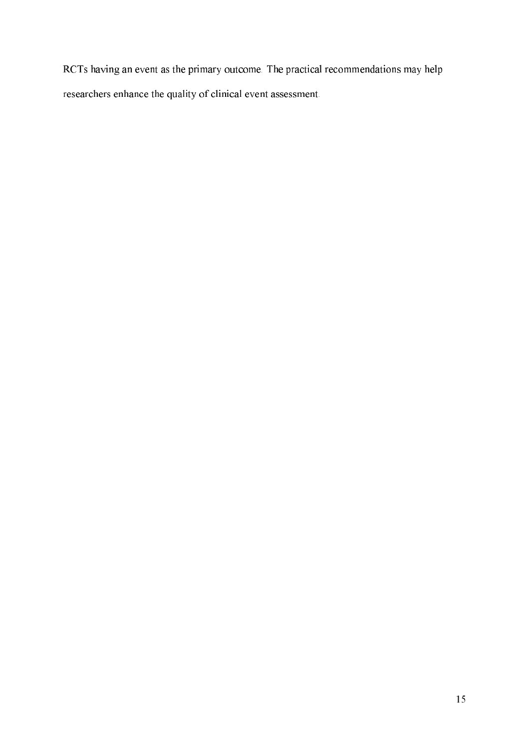RCTs having an event as the primary outcome. The practical recommendations may help researchers enhance the quality of clinical event assessment.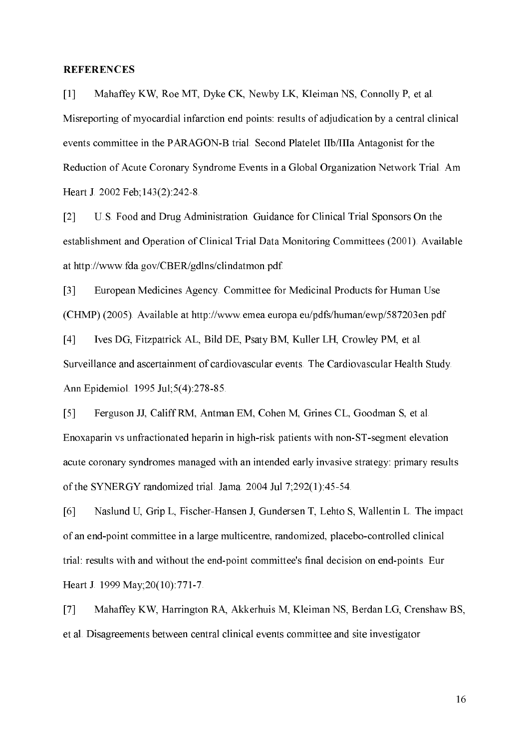#### **REFERENCES**

Mahaffey KW, Roe MT, Dyke CK, Newby LK, Kleiman NS, Connolly P, et al.  $\lceil 1 \rceil$ Misreporting of myocardial infarction end points: results of adjudication by a central clinical events committee in the PARAGON-B trial. Second Platelet IIb/IIIa Antagonist for the Reduction of Acute Coronary Syndrome Events in a Global Organization Network Trial. Am Heart J. 2002 Feb; 143(2): 242-8.

 $\lceil 2 \rceil$ U.S. Food and Drug Administration. Guidance for Clinical Trial Sponsors On the establishment and Operation of Clinical Trial Data Monitoring Committees (2001). Available at http://www.fda.gov/CBER/gdlns/clindatmon.pdf.

 $\lceil 3 \rceil$ European Medicines Agency. Committee for Medicinal Products for Human Use (CHMP) (2005). Available at http://www.emea.europa.eu/pdfs/human/ewp/587203en.pdf

Ives DG, Fitzpatrick AL, Bild DE, Psaty BM, Kuller LH, Crowley PM, et al.  $[4]$ Surveillance and ascertainment of cardiovascular events. The Cardiovascular Health Study. Ann Epidemiol. 1995 Jul; 5(4): 278-85.

 $\lceil 5 \rceil$ Ferguson JJ, Califf RM, Antman EM, Cohen M, Grines CL, Goodman S, et al. Enoxaparin vs unfractionated heparin in high-risk patients with non-ST-segment elevation acute coronary syndromes managed with an intended early invasive strategy: primary results of the SYNERGY randomized trial. Jama. 2004 Jul 7;292(1):45-54.

 $[6]$ Naslund U, Grip L, Fischer-Hansen J, Gundersen T, Lehto S, Wallentin L. The impact of an end-point committee in a large multicentre, randomized, placebo-controlled clinical trial: results with and without the end-point committee's final decision on end-points. Eur Heart J. 1999 May; 20(10): 771-7.

Mahaffey KW, Harrington RA, Akkerhuis M, Kleiman NS, Berdan LG, Crenshaw BS,  $\lceil 7 \rceil$ et al. Disagreements between central clinical events committee and site investigator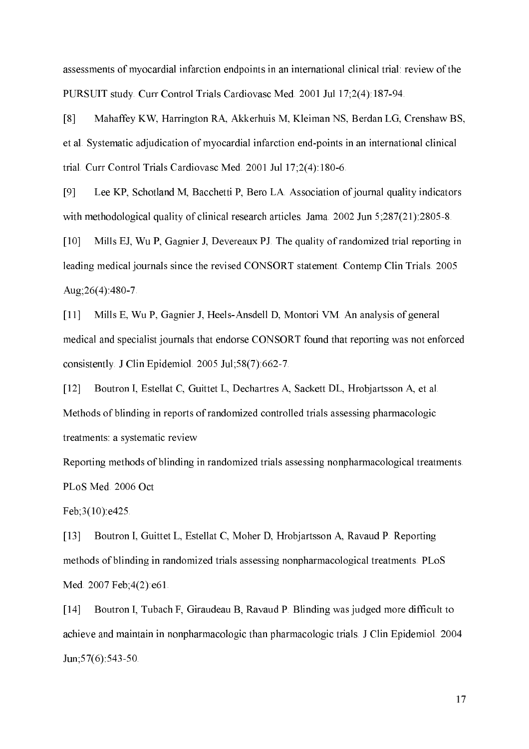assessments of myocardial infarction endpoints in an international clinical trial: review of the PURSUIT study. Curr Control Trials Cardiovasc Med. 2001 Jul 17;2(4):187-94.

Mahaffey KW, Harrington RA, Akkerhuis M, Kleiman NS, Berdan LG, Crenshaw BS,  $\lceil 8 \rceil$ et al. Systematic adjudication of myocardial infarction end-points in an international clinical trial. Curr Control Trials Cardiovasc Med. 2001 Jul 17;2(4):180-6.

[9] Lee KP, Schotland M, Bacchetti P, Bero LA. Association of journal quality indicators with methodological quality of clinical research articles. Jama,  $2002$  Jun  $5:287(21):2805-8$ .

 $[10]$ Mills EJ, Wu P, Gagnier J, Devereaux PJ. The quality of randomized trial reporting in leading medical journals since the revised CONSORT statement. Contemp Clin Trials. 2005 Aug: 26(4): 480-7.

 $[11]$ Mills E, Wu P, Gagnier J, Heels-Ansdell D, Montori VM. An analysis of general medical and specialist journals that endorse CONSORT found that reporting was not enforced consistently. J Clin Epidemiol. 2005 Jul;58(7):662-7.

Boutron I, Estellat C, Guittet L, Dechartres A, Sackett DL, Hrobjartsson A, et al.  $[12]$ Methods of blinding in reports of randomized controlled trials assessing pharmacologic treatments: a systematic review

Reporting methods of blinding in randomized trials assessing nonpharmacological treatments. PLoS Med. 2006 Oct

Feb; $3(10)$ :e $425$ .

Boutron I, Guittet L, Estellat C, Moher D, Hrobjartsson A, Ravaud P. Reporting  $\lceil 13 \rceil$ methods of blinding in randomized trials assessing nonpharmacological treatments. PLoS Med. 2007 Feb; 4(2): e61.

Boutron I, Tubach F, Giraudeau B, Ravaud P. Blinding was judged more difficult to  $[14]$ achieve and maintain in nonpharmacologic than pharmacologic trials. J Clin Epidemiol. 2004 Jun:  $57(6)$ : 543-50.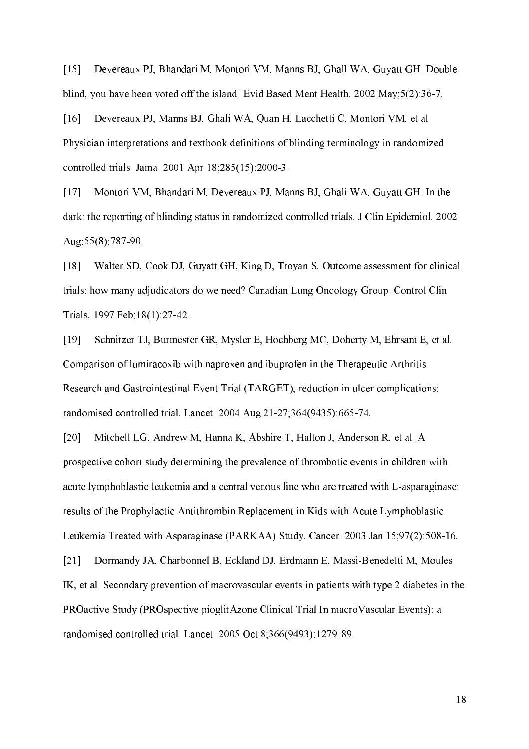$\lceil 15 \rceil$ Devereaux PJ, Bhandari M, Montori VM, Manns BJ, Ghall WA, Guyatt GH. Double blind, you have been voted off the island! Evid Based Ment Health. 2002 May;5(2):36-7.

Devereaux PJ, Manns BJ, Ghali WA, Quan H, Lacchetti C, Montori VM, et al.  $[16]$ Physician interpretations and textbook definitions of blinding terminology in randomized controlled trials. Jama. 2001 Apr 18;285(15):2000-3.

 $[17]$ Montori VM, Bhandari M, Devereaux PJ, Manns BJ, Ghali WA, Guyatt GH. In the dark: the reporting of blinding status in randomized controlled trials. J Clin Epidemiol. 2002 Aug: 55(8): 787-90.

Walter SD, Cook DJ, Guyatt GH, King D, Troyan S. Outcome assessment for clinical  $[18]$ trials; how many adjudicators do we need? Canadian Lung Oncology Group. Control Clin Trials. 1997 Feb; 18(1): 27-42.

 $[19]$ Schnitzer TJ, Burmester GR, Mysler E, Hochberg MC, Doherty M, Ehrsam E, et al. Comparison of lumiracoxib with naproxen and ibuprofen in the Therapeutic Arthritis Research and Gastrointestinal Event Trial (TARGET), reduction in ulcer complications: randomised controlled trial. Lancet. 2004 Aug 21-27;364(9435):665-74.

Mitchell LG, Andrew M, Hanna K, Abshire T, Halton J, Anderson R, et al. A  $\lceil 20 \rceil$ prospective cohort study determining the prevalence of thrombotic events in children with acute lymphoblastic leukemia and a central venous line who are treated with L-asparaginase. results of the Prophylactic Antithrombin Replacement in Kids with Acute Lymphoblastic Leukemia Treated with Asparaginase (PARKAA) Study. Cancer. 2003 Jan 15;97(2):508-16.  $\lceil 21 \rceil$ Dormandy JA, Charbonnel B, Eckland DJ, Erdmann E, Massi-Benedetti M, Moules IK, et al. Secondary prevention of macrovascular events in patients with type 2 diabetes in the PROactive Study (PROspective pioglit Azone Clinical Trial In macro Vascular Events): a randomised controlled trial. Lancet. 2005 Oct 8;366(9493):1279-89.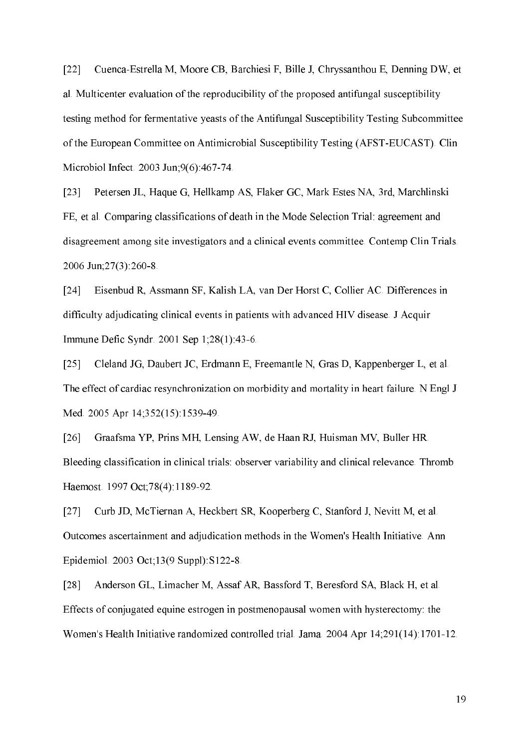$[22]$ Cuenca-Estrella M, Moore CB, Barchiesi F, Bille J, Chryssanthou E, Denning DW, et al. Multicenter evaluation of the reproducibility of the proposed antifungal susceptibility testing method for fermentative yeasts of the Antifungal Susceptibility Testing Subcommittee of the European Committee on Antimicrobial Susceptibility Testing (AFST-EUCAST). Clin Microbiol Infect. 2003 Jun;9(6):467-74.

 $\sqrt{231}$ Petersen JL, Haque G, Hellkamp AS, Flaker GC, Mark Estes NA, 3rd, Marchlinski FE, et al. Comparing classifications of death in the Mode Selection Trial: agreement and disagreement among site investigators and a clinical events committee. Contemp Clin Trials. 2006 Jun; 27(3): 260-8.

 $\lceil 24 \rceil$ Eisenbud R, Assmann SF, Kalish LA, van Der Horst C, Collier AC. Differences in difficulty adjudicating clinical events in patients with advanced HIV disease. J Acquir Immune Defic Syndr. 2001 Sep 1;28(1):43-6.

 $[25]$ Cleland JG, Daubert JC, Erdmann E, Freemantle N, Gras D, Kappenberger L, et al. The effect of cardiac resynchronization on morbidity and mortality in heart failure. N Engl J Med. 2005 Apr 14;352(15):1539-49.

 $\lceil 26 \rceil$ Graafsma YP, Prins MH, Lensing AW, de Haan RJ, Huisman MV, Buller HR. Bleeding classification in clinical trials: observer variability and clinical relevance. Thromb Haemost 1997 Oct; 78(4): 1189-92.

Curb JD, McTiernan A, Heckbert SR, Kooperberg C, Stanford J, Nevitt M, et al.  $\lceil 27 \rceil$ Outcomes ascertainment and adjudication methods in the Women's Health Initiative. Ann Epidemiol. 2003 Oct;13(9 Suppl): S122-8.

Anderson GL, Limacher M, Assaf AR, Bassford T, Beresford SA, Black H, et al.  $\lceil 28 \rceil$ Effects of conjugated equine estrogen in postmenopausal women with hysterectomy: the Women's Health Initiative randomized controlled trial. Jama. 2004 Apr 14;291(14):1701-12.